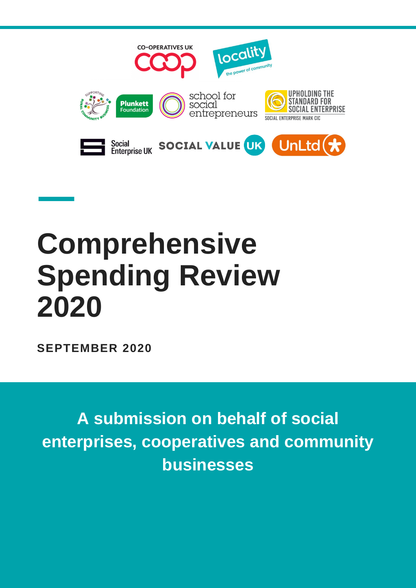

# **Comprehensive Spending Review 2020**

**SEPTEMBER 2020**

**A submission on behalf of social enterprises, cooperatives and community businesses**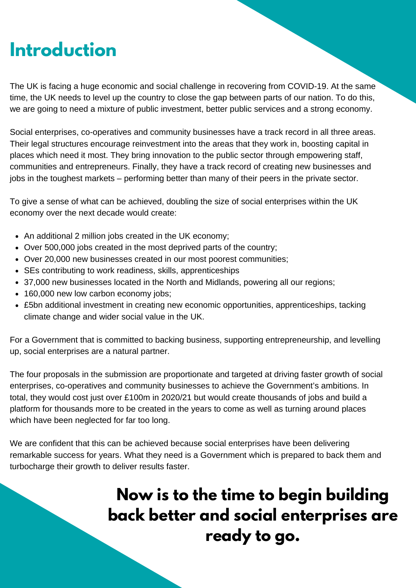### **Introduction**

The UK is facing a huge economic and social challenge in recovering from COVID-19. At the same time, the UK needs to level up the country to close the gap between parts of our nation. To do this, we are going to need a mixture of public investment, better public services and a strong economy.

Social enterprises, co-operatives and community businesses have a track record in all three areas. Their legal structures encourage reinvestment into the areas that they work in, boosting capital in places which need it most. They bring innovation to the public sector through empowering staff, communities and entrepreneurs. Finally, they have a track record of creating new businesses and jobs in the toughest markets – performing better than many of their peers in the private sector.

To give a sense of what can be achieved, doubling the size of social enterprises within the UK economy over the next decade would create:

- An additional 2 million jobs created in the UK economy;
- Over 500,000 jobs created in the most deprived parts of the country;
- Over 20,000 new businesses created in our most poorest communities;
- SEs contributing to work readiness, skills, apprenticeships
- 37,000 new businesses located in the North and Midlands, powering all our regions;
- 160,000 new low carbon economy jobs;
- £5bn additional investment in creating new economic opportunities, apprenticeships, tacking climate change and wider social value in the UK.

For a Government that is committed to backing business, supporting entrepreneurship, and levelling up, social enterprises are a natural partner.

The four proposals in the submission are proportionate and targeted at driving faster growth of social enterprises, co-operatives and community businesses to achieve the Government's ambitions. In total, they would cost just over £100m in 2020/21 but would create thousands of jobs and build a platform for thousands more to be created in the years to come as well as turning around places which have been neglected for far too long.

We are confident that this can be achieved because social enterprises have been delivering remarkable success for years. What they need is a Government which is prepared to back them and turbocharge their growth to deliver results faster.

#### **Now is to the time to begin building back better and social enterprises are ready to go.**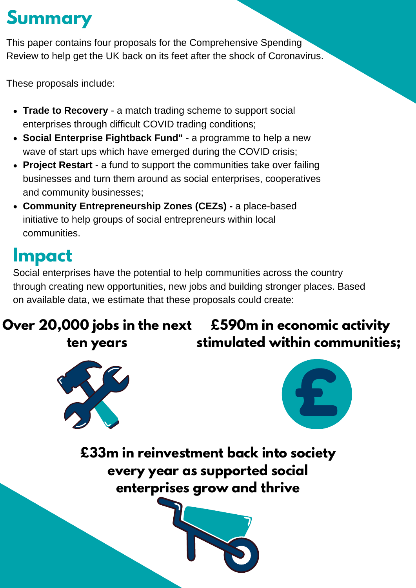### **Summary**

This paper contains four proposals for the Comprehensive Spending Review to help get the UK back on its feet after the shock of Coronavirus.

These proposals include:

- **Trade to Recovery** a match trading scheme to support social enterprises through difficult COVID trading conditions;
- **Social Enterprise Fightback Fund"** a programme to help a new wave of start ups which have emerged during the COVID crisis;
- **Project Restart** a fund to support the communities take over failing businesses and turn them around as social enterprises, cooperatives and community businesses;
- **Community Entrepreneurship Zones (CEZs) -** a place-based initiative to help groups of social entrepreneurs within local communities.

### **Impact**

Social enterprises have the potential to help communities across the country through creating new opportunities, new jobs and building stronger places. Based on available data, we estimate that these proposals could create:

#### **Over 20,000 jobs in the next £590m in economic activity ten years stimulated within communities;**





**£33m in reinvestment back into society every year as supported social enterprises grow and thrive**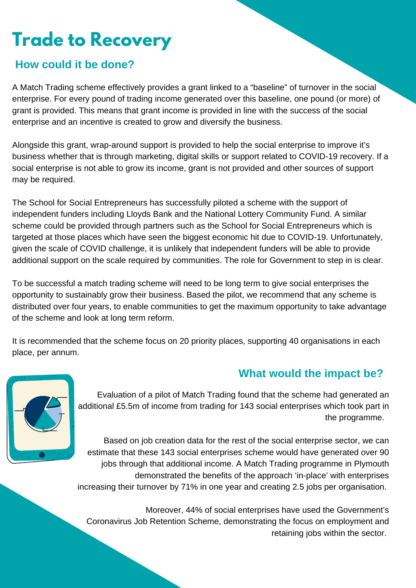### **Trade to Recovery**

#### **How could it be done?**

A Match Trading scheme effectively provides a grant linked to a "baseline" of turnover in the social enterprise. For every pound of trading income generated over this baseline, one pound (or more) of grant is provided. This means that grant income is provided in line with the success of the social enterprise and an incentive is created to grow and diversify the business.

Alongside this grant, wrap-around support is provided to help the social enterprise to improve it's business whether that is through marketing, digital skills or support related to COVID-19 recovery. If a social enterprise is not able to grow its income, grant is not provided and other sources of support may be required.

The School for Social Entrepreneurs has successfully piloted a scheme with the support of independent funders including Lloyds Bank and the National Lottery Community Fund. A similar scheme could be provided through partners such as the School for Social Entrepreneurs which is targeted at those places which have seen the biggest economic hit due to COVID-19. Unfortunately, given the scale of COVID challenge, it is unlikely that independent funders will be able to provide additional support on the scale required by communities. The role for Government to step in is clear.

To be successful a match trading scheme will need to be long term to give social enterprises the opportunity to sustainably grow their business. Based the pilot, we recommend that any scheme is distributed over four years, to enable communities to get the maximum opportunity to take advantage of the scheme and look at long term reform.

It is recommended that the scheme focus on 20 priority places, supporting 40 organisations in each place, per annum.

#### **What would the impact be?**



Evaluation of a pilot of Match Trading found that the scheme had generated an additional £5.5m of income from trading for 143 social enterprises which took part in the programme.

Based on job creation data for the rest of the social enterprise sector, we can estimate that these 143 social enterprises scheme would have generated over 90 jobs through that additional income. A Match Trading programme in Plymouth demonstrated the benefits of the approach 'in-place' with enterprises increasing their turnover by 71% in one year and creating 2.5 jobs per organisation.

Moreover, 44% of social enterprises have used the Government's Coronavirus Job Retention Scheme, demonstrating the focus on employment and retaining jobs within the sector.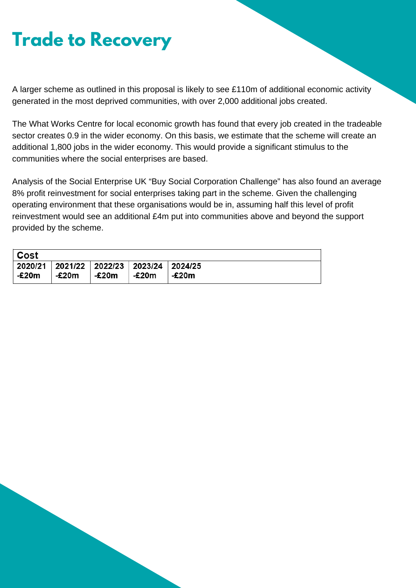### **Trade to Recovery**

A larger scheme as outlined in this proposal is likely to see £110m of additional economic activity generated in the most deprived communities, with over 2,000 additional jobs created.

The What Works Centre for local economic growth has found that every job created in the tradeable sector creates 0.9 in the wider economy. On this basis, we estimate that the scheme will create an additional 1,800 jobs in the wider economy. This would provide a significant stimulus to the communities where the social enterprises are based.

Analysis of the Social Enterprise UK "Buy Social Corporation Challenge" has also found an average 8% profit reinvestment for social enterprises taking part in the scheme. Given the challenging operating environment that these organisations would be in, assuming half this level of profit reinvestment would see an additional £4m put into communities above and beyond the support provided by the scheme.

| Cost  |       |       |                                                       |       |
|-------|-------|-------|-------------------------------------------------------|-------|
| -£20m | -£20m | -£20m | │2020/21 │2021/22 │2022/23 │2023/24 │2024/25<br>-£20m | -£20m |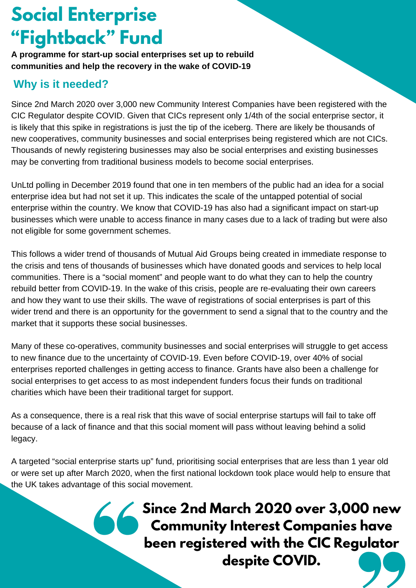### **Social Enterprise "Fightback" Fund**

**A programme for start-up social enterprises set up to rebuild communities and help the recovery in the wake of COVID-19**

#### **Why is it needed?**

Since 2nd March 2020 over 3,000 new Community Interest Companies have been registered with the CIC Regulator despite COVID. Given that CICs represent only 1/4th of the social enterprise sector, it is likely that this spike in registrations is just the tip of the iceberg. There are likely be thousands of new cooperatives, community businesses and social enterprises being registered which are not CICs. Thousands of newly registering businesses may also be social enterprises and existing businesses may be converting from traditional business models to become social enterprises.

UnLtd polling in December 2019 found that one in ten members of the public had an idea for a social enterprise idea but had not set it up. This indicates the scale of the untapped potential of social enterprise within the country. We know that COVID-19 has also had a significant impact on start-up businesses which were unable to access finance in many cases due to a lack of trading but were also not eligible for some government schemes.

This follows a wider trend of thousands of Mutual Aid Groups being created in immediate response to the crisis and tens of thousands of businesses which have donated goods and services to help local communities. There is a "social moment" and people want to do what they can to help the country rebuild better from COVID-19. In the wake of this crisis, people are re-evaluating their own careers and how they want to use their skills. The wave of registrations of social enterprises is part of this wider trend and there is an opportunity for the government to send a signal that to the country and the market that it supports these social businesses.

Many of these co-operatives, community businesses and social enterprises will struggle to get access to new finance due to the uncertainty of COVID-19. Even before COVID-19, over 40% of social enterprises reported challenges in getting access to finance. Grants have also been a challenge for social enterprises to get access to as most independent funders focus their funds on traditional charities which have been their traditional target for support.

As a consequence, there is a real risk that this wave of social enterprise startups will fail to take off because of a lack of finance and that this social moment will pass without leaving behind a solid legacy.

A targeted "social enterprise starts up" fund, prioritising social enterprises that are less than 1 year old or were set up after March 2020, when the first national lockdown took place would help to ensure that the UK takes advantage of this social movement.

#### **Since 2nd March 2020 over 3,000 new Community Interest Companies have been registered with the CIC Regulator despite COVID.**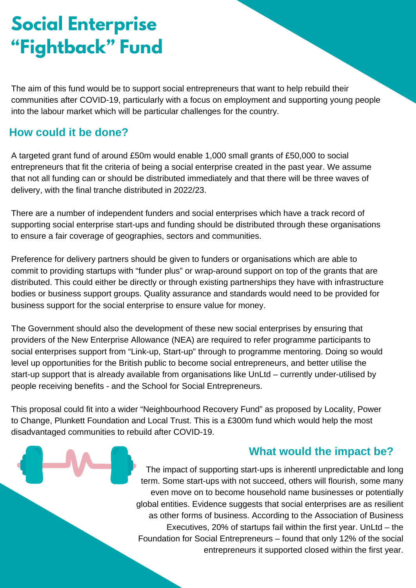### **Social Enterprise "Fightback" Fund**

The aim of this fund would be to support social entrepreneurs that want to help rebuild their communities after COVID-19, particularly with a focus on employment and supporting young people into the labour market which will be particular challenges for the country.

#### **How could it be done?**

A targeted grant fund of around £50m would enable 1,000 small grants of £50,000 to social entrepreneurs that fit the criteria of being a social enterprise created in the past year. We assume that not all funding can or should be distributed immediately and that there will be three waves of delivery, with the final tranche distributed in 2022/23.

There are a number of independent funders and social enterprises which have a track record of supporting social enterprise start-ups and funding should be distributed through these organisations to ensure a fair coverage of geographies, sectors and communities.

Preference for delivery partners should be given to funders or organisations which are able to commit to providing startups with "funder plus" or wrap-around support on top of the grants that are distributed. This could either be directly or through existing partnerships they have with infrastructure bodies or business support groups. Quality assurance and standards would need to be provided for business support for the social enterprise to ensure value for money.

The Government should also the development of these new social enterprises by ensuring that providers of the New Enterprise Allowance (NEA) are required to refer programme participants to social enterprises support from "Link-up, Start-up" through to programme mentoring. Doing so would level up opportunities for the British public to become social entrepreneurs, and better utilise the start-up support that is already available from organisations like UnLtd – currently under-utilised by people receiving benefits - and the School for Social Entrepreneurs.

This proposal could fit into a wider "Neighbourhood Recovery Fund" as proposed by Locality, Power to Change, Plunkett Foundation and Local Trust. This is a £300m fund which would help the most disadvantaged communities to rebuild after COVID-19.

#### **What would the impact be?**

The impact of supporting start-ups is inherentl unpredictable and long term. Some start-ups with not succeed, others will flourish, some many even move on to become household name businesses or potentially global entities. Evidence suggests that social enterprises are as resilient as other forms of business. According to the Association of Business Executives, 20% of startups fail within the first year. UnLtd – the Foundation for Social Entrepreneurs – found that only 12% of the social entrepreneurs it supported closed within the first year.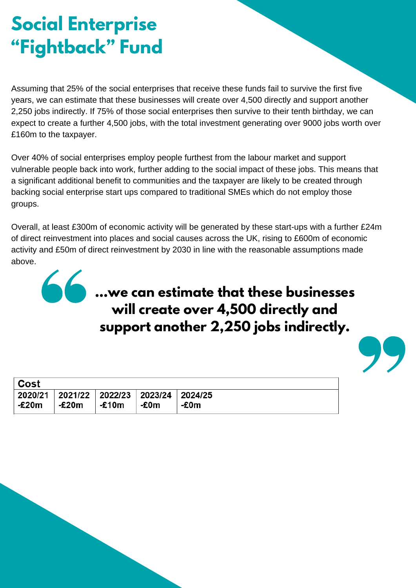### **Social Enterprise "Fightback" Fund**

Assuming that 25% of the social enterprises that receive these funds fail to survive the first five years, we can estimate that these businesses will create over 4,500 directly and support another 2,250 jobs indirectly. If 75% of those social enterprises then survive to their tenth birthday, we can expect to create a further 4,500 jobs, with the total investment generating over 9000 jobs worth over £160m to the taxpayer.

Over 40% of social enterprises employ people furthest from the labour market and support vulnerable people back into work, further adding to the social impact of these jobs. This means that a significant additional benefit to communities and the taxpayer are likely to be created through backing social enterprise start ups compared to traditional SMEs which do not employ those groups.

Overall, at least £300m of economic activity will be generated by these start-ups with a further £24m of direct reinvestment into places and social causes across the UK, rising to £600m of economic activity and £50m of direct reinvestment by 2030 in line with the reasonable assumptions made above.

### **...we can estimate that these businesses will create over 4,500 directly and support another 2,250 jobs indirectly.**

| ∣ Cost |                                                 |          |       |      |
|--------|-------------------------------------------------|----------|-------|------|
|        | 2020/21   2021/22   2022/23   2023/24   2024/25 |          |       |      |
| -£20m  | -£20m                                           | $-$ £10m | ∣-£0m | -£0m |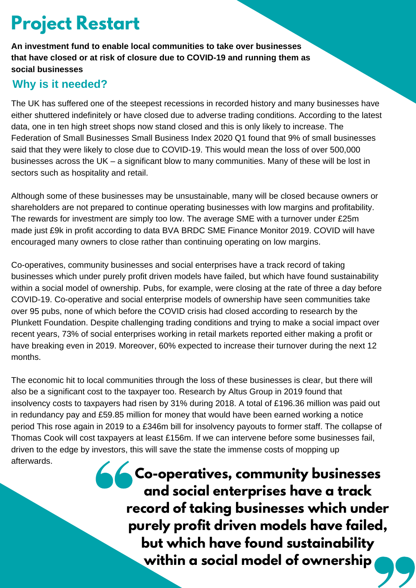### **Project Restart**

**An investment fund to enable local communities to take over businesses that have closed or at risk of closure due to COVID-19 and running them as social businesses**

#### **Why is it needed?**

The UK has suffered one of the steepest recessions in recorded history and many businesses have either shuttered indefinitely or have closed due to adverse trading conditions. According to the latest data, one in ten high street shops now stand closed and this is only likely to increase. The Federation of Small Businesses Small Business Index 2020 Q1 found that 9% of small businesses said that they were likely to close due to COVID-19. This would mean the loss of over 500,000 businesses across the UK – a significant blow to many communities. Many of these will be lost in sectors such as hospitality and retail.

Although some of these businesses may be unsustainable, many will be closed because owners or shareholders are not prepared to continue operating businesses with low margins and profitability. The rewards for investment are simply too low. The average SME with a turnover under £25m made just £9k in profit according to data BVA BRDC SME Finance Monitor 2019. COVID will have encouraged many owners to close rather than continuing operating on low margins.

Co-operatives, community businesses and social enterprises have a track record of taking businesses which under purely profit driven models have failed, but which have found sustainability within a social model of ownership. Pubs, for example, were closing at the rate of three a day before COVID-19. Co-operative and social enterprise models of ownership have seen communities take over 95 pubs, none of which before the COVID crisis had closed according to research by the Plunkett Foundation. Despite challenging trading conditions and trying to make a social impact over recent years, 73% of social enterprises working in retail markets reported either making a profit or have breaking even in 2019. Moreover, 60% expected to increase their turnover during the next 12 months.

The economic hit to local communities through the loss of these businesses is clear, but there will also be a significant cost to the taxpayer too. Research by Altus Group in 2019 found that insolvency costs to taxpayers had risen by 31% during 2018. A total of £196.36 million was paid out in redundancy pay and £59.85 million for money that would have been earned working a notice period This rose again in 2019 to a £346m bill for insolvency payouts to former staff. The collapse of Thomas Cook will cost taxpayers at least £156m. If we can intervene before some businesses fail, driven to the edge by investors, this will save the state the immense costs of mopping up afterwards.

**Co-operatives, community businesses and social enterprises have a track record of taking businesses which under purely profit driven models have failed, but which have found sustainability within a social model of ownership**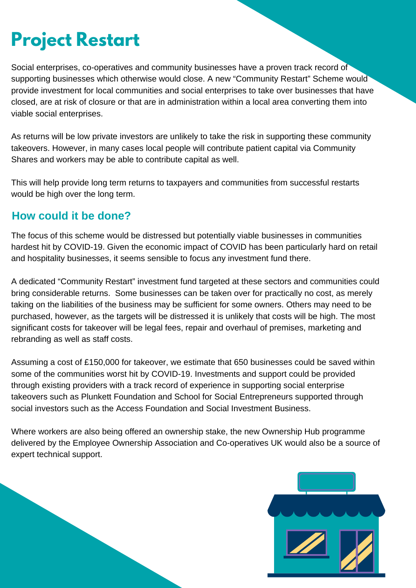# **Project Restart**

Social enterprises, co-operatives and community businesses have a proven track record of supporting businesses which otherwise would close. A new "Community Restart" Scheme would provide investment for local communities and social enterprises to take over businesses that have closed, are at risk of closure or that are in administration within a local area converting them into viable social enterprises.

As returns will be low private investors are unlikely to take the risk in supporting these community takeovers. However, in many cases local people will contribute patient capital via Community Shares and workers may be able to contribute capital as well.

This will help provide long term returns to taxpayers and communities from successful restarts would be high over the long term.

#### **How could it be done?**

The focus of this scheme would be distressed but potentially viable businesses in communities hardest hit by COVID-19. Given the economic impact of COVID has been particularly hard on retail and hospitality businesses, it seems sensible to focus any investment fund there.

A dedicated "Community Restart" investment fund targeted at these sectors and communities could bring considerable returns. Some businesses can be taken over for practically no cost, as merely taking on the liabilities of the business may be sufficient for some owners. Others may need to be purchased, however, as the targets will be distressed it is unlikely that costs will be high. The most significant costs for takeover will be legal fees, repair and overhaul of premises, marketing and rebranding as well as staff costs.

Assuming a cost of £150,000 for takeover, we estimate that 650 businesses could be saved within some of the communities worst hit by COVID-19. Investments and support could be provided through existing providers with a track record of experience in supporting social enterprise takeovers such as Plunkett Foundation and School for Social Entrepreneurs supported through social investors such as the Access Foundation and Social Investment Business.

Where workers are also being offered an ownership stake, the new Ownership Hub programme delivered by the Employee Ownership Association and Co-operatives UK would also be a source of expert technical support.

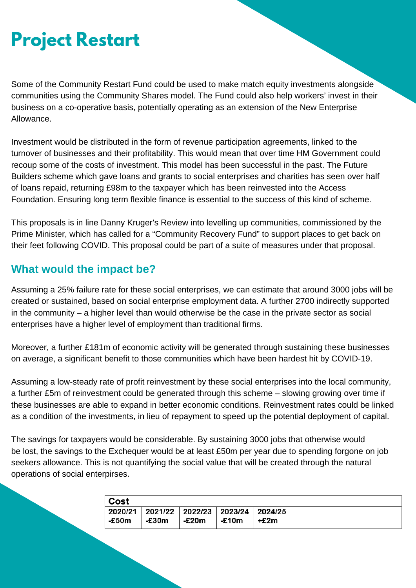# **Project Restart**

Some of the Community Restart Fund could be used to make match equity investments alongside communities using the Community Shares model. The Fund could also help workers' invest in their business on a co-operative basis, potentially operating as an extension of the New Enterprise Allowance.

Investment would be distributed in the form of revenue participation agreements, linked to the turnover of businesses and their profitability. This would mean that over time HM Government could recoup some of the costs of investment. This model has been successful in the past. The Future Builders scheme which gave loans and grants to social enterprises and charities has seen over half of loans repaid, returning £98m to the taxpayer which has been reinvested into the Access Foundation. Ensuring long term flexible finance is essential to the success of this kind of scheme.

This proposals is in line Danny Kruger's Review into levelling up communities, commissioned by the Prime Minister, which has called for a "Community Recovery Fund" to support places to get back on their feet following COVID. This proposal could be part of a suite of measures under that proposal.

#### **What would the impact be?**

Assuming a 25% failure rate for these social enterprises, we can estimate that around 3000 jobs will be created or sustained, based on social enterprise employment data. A further 2700 indirectly supported in the community – a higher level than would otherwise be the case in the private sector as social enterprises have a higher level of employment than traditional firms.

Moreover, a further £181m of economic activity will be generated through sustaining these businesses on average, a significant benefit to those communities which have been hardest hit by COVID-19.

Assuming a low-steady rate of profit reinvestment by these social enterprises into the local community, a further £5m of reinvestment could be generated through this scheme – slowing growing over time if these businesses are able to expand in better economic conditions. Reinvestment rates could be linked as a condition of the investments, in lieu of repayment to speed up the potential deployment of capital.

The savings for taxpayers would be considerable. By sustaining 3000 jobs that otherwise would be lost, the savings to the Exchequer would be at least £50m per year due to spending forgone on job seekers allowance. This is not quantifying the social value that will be created through the natural operations of social enterpirses.

| Cost  |                                                  |       |        |      |
|-------|--------------------------------------------------|-------|--------|------|
| -£50m | 2020/21 2021/22 2022/23 2023/24 2024/25<br>-£30m | -£20m | ∣-£10m | +£2m |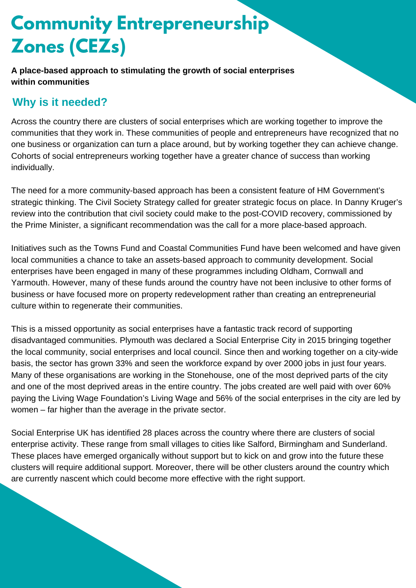# **Community Entrepreneurship Zones (CEZs)**

**A place-based approach to stimulating the growth of social enterprises within communities**

#### **Why is it needed?**

Across the country there are clusters of social enterprises which are working together to improve the communities that they work in. These communities of people and entrepreneurs have recognized that no one business or organization can turn a place around, but by working together they can achieve change. Cohorts of social entrepreneurs working together have a greater chance of success than working individually.

The need for a more community-based approach has been a consistent feature of HM Government's strategic thinking. The Civil Society Strategy called for greater strategic focus on place. In Danny Kruger's review into the contribution that civil society could make to the post-COVID recovery, commissioned by the Prime Minister, a significant recommendation was the call for a more place-based approach.

Initiatives such as the Towns Fund and Coastal Communities Fund have been welcomed and have given local communities a chance to take an assets-based approach to community development. Social enterprises have been engaged in many of these programmes including Oldham, Cornwall and Yarmouth. However, many of these funds around the country have not been inclusive to other forms of business or have focused more on property redevelopment rather than creating an entrepreneurial culture within to regenerate their communities.

This is a missed opportunity as social enterprises have a fantastic track record of supporting disadvantaged communities. Plymouth was declared a Social Enterprise City in 2015 bringing together the local community, social enterprises and local council. Since then and working together on a city-wide basis, the sector has grown 33% and seen the workforce expand by over 2000 jobs in just four years. Many of these organisations are working in the Stonehouse, one of the most deprived parts of the city and one of the most deprived areas in the entire country. The jobs created are well paid with over 60% paying the Living Wage Foundation's Living Wage and 56% of the social enterprises in the city are led by women – far higher than the average in the private sector.

Social Enterprise UK has identified 28 places across the country where there are clusters of social enterprise activity. These range from small villages to cities like Salford, Birmingham and Sunderland. These places have emerged organically without support but to kick on and grow into the future these clusters will require additional support. Moreover, there will be other clusters around the country which are currently nascent which could become more effective with the right support.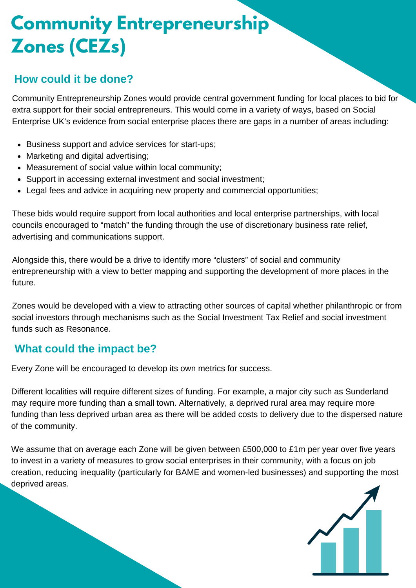# **Community Entrepreneurship Zones (CEZs)**

#### **How could it be done?**

Community Entrepreneurship Zones would provide central government funding for local places to bid for extra support for their social entrepreneurs. This would come in a variety of ways, based on Social Enterprise UK's evidence from social enterprise places there are gaps in a number of areas including:

- Business support and advice services for start-ups;
- Marketing and digital advertising;
- Measurement of social value within local community;
- Support in accessing external investment and social investment;
- Legal fees and advice in acquiring new property and commercial opportunities;

These bids would require support from local authorities and local enterprise partnerships, with local councils encouraged to "match" the funding through the use of discretionary business rate relief, advertising and communications support.

Alongside this, there would be a drive to identify more "clusters" of social and community entrepreneurship with a view to better mapping and supporting the development of more places in the future.

Zones would be developed with a view to attracting other sources of capital whether philanthropic or from social investors through mechanisms such as the Social Investment Tax Relief and social investment funds such as Resonance.

#### **What could the impact be?**

Every Zone will be encouraged to develop its own metrics for success.

Different localities will require different sizes of funding. For example, a major city such as Sunderland may require more funding than a small town. Alternatively, a deprived rural area may require more funding than less deprived urban area as there will be added costs to delivery due to the dispersed nature of the community.

We assume that on average each Zone will be given between £500,000 to £1m per year over five years to invest in a variety of measures to grow social enterprises in their community, with a focus on job creation, reducing inequality (particularly for BAME and women-led businesses) and supporting the most deprived areas.